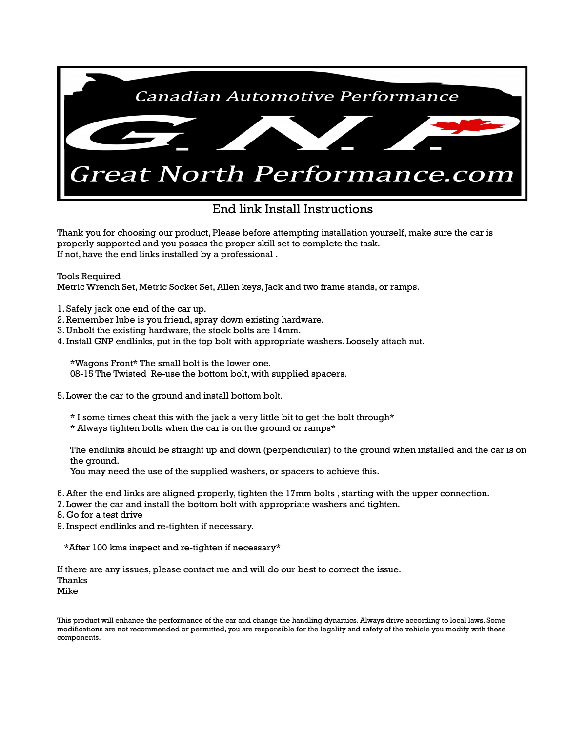

## End link Install Instructions

Thank you for choosing our product, Please before attempting installation yourself, make sure the car is properly supported and you posses the proper skill set to complete the task. If not, have the end links installed by a professional .

Tools Required

Metric Wrench Set, Metric Socket Set, Allen keys, Jack and two frame stands, or ramps.

1. Safely jack one end of the car up.

- 2. Remember lube is you friend, spray down existing hardware.
- 3. Unbolt the existing hardware, the stock bolts are 14mm.
- 4. Install GNP endlinks, put in the top bolt with appropriate washers. Loosely attach nut.

\*Wagons Front\* The small bolt is the lower one.

08-15 The Twisted Re-use the bottom bolt, with supplied spacers.

- 5. Lower the car to the ground and install bottom bolt.
	- \* I some times cheat this with the jack a very little bit to get the bolt through\*
	- \* Always tighten bolts when the car is on the ground or ramps\*

The endlinks should be straight up and down (perpendicular) to the ground when installed and the car is on the ground.

You may need the use of the supplied washers, or spacers to achieve this.

- 6. After the end links are aligned properly, tighten the 17mm bolts , starting with the upper connection.
- 7. Lower the car and install the bottom bolt with appropriate washers and tighten.
- 8. Go for a test drive
- 9. Inspect endlinks and re-tighten if necessary.

\*After 100 kms inspect and re-tighten if necessary\*

If there are any issues, please contact me and will do our best to correct the issue. Thanks Mike

This product will enhance the performance of the car and change the handling dynamics. Always drive according to local laws. Some modifications are not recommended or permitted, you are responsible for the legality and safety of the vehicle you modify with these components.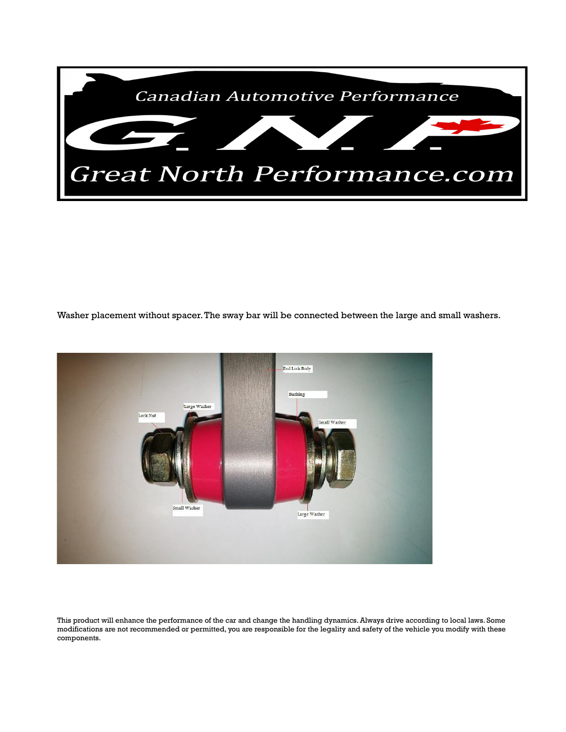

Washer placement without spacer. The sway bar will be connected between the large and small washers.



This product will enhance the performance of the car and change the handling dynamics. Always drive according to local laws. Some modifications are not recommended or permitted, you are responsible for the legality and safety of the vehicle you modify with these components.